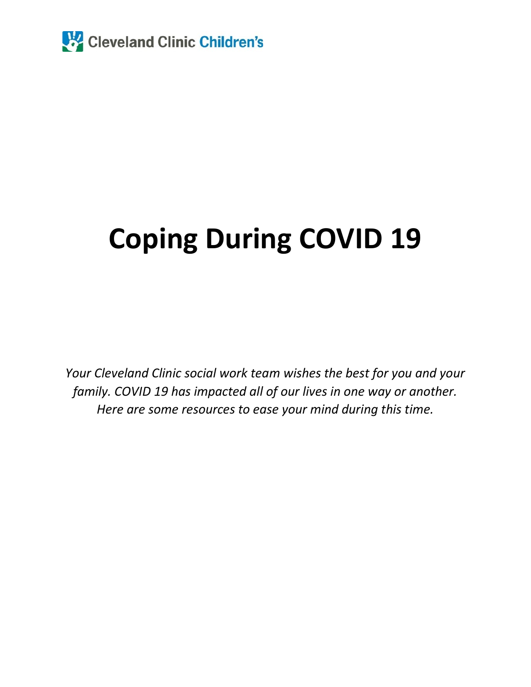

# **Coping During COVID 19**

*Your Cleveland Clinic social work team wishes the best for you and your family. COVID 19 has impacted all of our lives in one way or another. Here are some resources to ease your mind during this time.*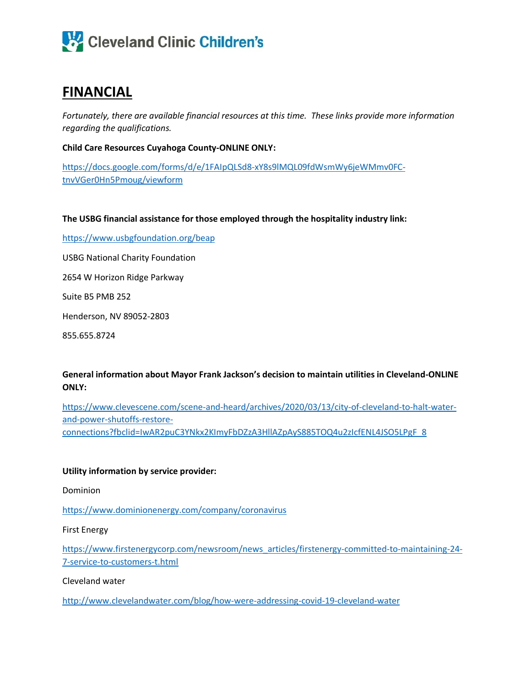

## **FINANCIAL**

*Fortunately, there are available financial resources at this time. These links provide more information regarding the qualifications.*

**Child Care Resources Cuyahoga County-ONLINE ONLY:**

[https://docs.google.com/forms/d/e/1FAIpQLSd8-xY8s9lMQL09fdWsmWy6jeWMmv0FC](https://docs.google.com/forms/d/e/1FAIpQLSd8-xY8s9lMQL09fdWsmWy6jeWMmv0FC-tnvVGer0Hn5Pmoug/viewform)[tnvVGer0Hn5Pmoug/viewform](https://docs.google.com/forms/d/e/1FAIpQLSd8-xY8s9lMQL09fdWsmWy6jeWMmv0FC-tnvVGer0Hn5Pmoug/viewform)

**The USBG financial assistance for those employed through the hospitality industry link:**

<https://www.usbgfoundation.org/beap>

USBG National Charity Foundation

2654 W Horizon Ridge Parkway

Suite B5 PMB 252

Henderson, NV 89052-2803

855.655.8724

**General information about Mayor Frank Jackson's decision to maintain utilities in Cleveland-ONLINE ONLY:**

[https://www.clevescene.com/scene-and-heard/archives/2020/03/13/city-of-cleveland-to-halt-water](https://www.clevescene.com/scene-and-heard/archives/2020/03/13/city-of-cleveland-to-halt-water-and-power-shutoffs-restore-connections?fbclid=IwAR2puC3YNkx2KImyFbDZzA3HllAZpAyS885TOQ4u2zIcfENL4JSO5LPgF_8)[and-power-shutoffs-restore](https://www.clevescene.com/scene-and-heard/archives/2020/03/13/city-of-cleveland-to-halt-water-and-power-shutoffs-restore-connections?fbclid=IwAR2puC3YNkx2KImyFbDZzA3HllAZpAyS885TOQ4u2zIcfENL4JSO5LPgF_8)[connections?fbclid=IwAR2puC3YNkx2KImyFbDZzA3HllAZpAyS885TOQ4u2zIcfENL4JSO5LPgF\\_8](https://www.clevescene.com/scene-and-heard/archives/2020/03/13/city-of-cleveland-to-halt-water-and-power-shutoffs-restore-connections?fbclid=IwAR2puC3YNkx2KImyFbDZzA3HllAZpAyS885TOQ4u2zIcfENL4JSO5LPgF_8)

#### **Utility information by service provider:**

Dominion

<https://www.dominionenergy.com/company/coronavirus>

First Energy

[https://www.firstenergycorp.com/newsroom/news\\_articles/firstenergy-committed-to-maintaining-24-](https://www.firstenergycorp.com/newsroom/news_articles/firstenergy-committed-to-maintaining-24-7-service-to-customers-t.html) [7-service-to-customers-t.html](https://www.firstenergycorp.com/newsroom/news_articles/firstenergy-committed-to-maintaining-24-7-service-to-customers-t.html)

Cleveland water

<http://www.clevelandwater.com/blog/how-were-addressing-covid-19-cleveland-water>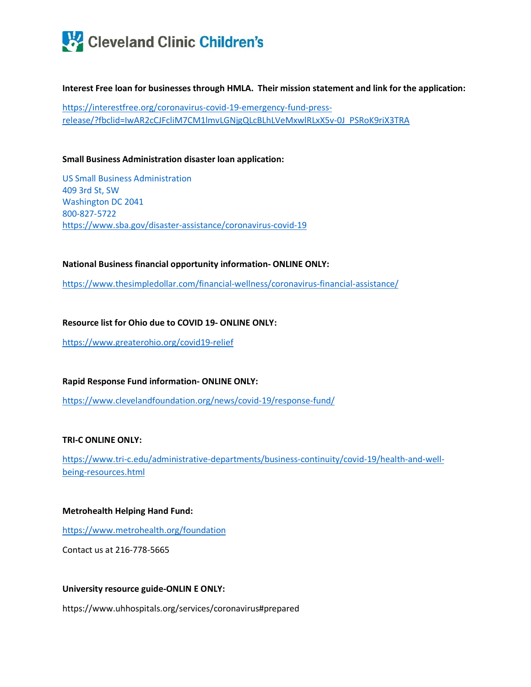

**Interest Free loan for businesses through HMLA. Their mission statement and link for the application:**

[https://interestfree.org/coronavirus-covid-19-emergency-fund-press](https://interestfree.org/coronavirus-covid-19-emergency-fund-press-release/?fbclid=IwAR2cCJFcliM7CM1lmvLGNjgQLcBLhLVeMxwlRLxX5v-0J_PSRoK9riX3TRA)[release/?fbclid=IwAR2cCJFcliM7CM1lmvLGNjgQLcBLhLVeMxwlRLxX5v-0J\\_PSRoK9riX3TRA](https://interestfree.org/coronavirus-covid-19-emergency-fund-press-release/?fbclid=IwAR2cCJFcliM7CM1lmvLGNjgQLcBLhLVeMxwlRLxX5v-0J_PSRoK9riX3TRA)

#### **Small Business Administration disaster loan application:**

US Small Business Administration 409 3rd St, SW Washington DC 2041 800-827-5722 <https://www.sba.gov/disaster-assistance/coronavirus-covid-19>

**National Business financial opportunity information- ONLINE ONLY:**

<https://www.thesimpledollar.com/financial-wellness/coronavirus-financial-assistance/>

#### **Resource list for Ohio due to COVID 19- ONLINE ONLY:**

<https://www.greaterohio.org/covid19-relief>

#### **Rapid Response Fund information- ONLINE ONLY:**

<https://www.clevelandfoundation.org/news/covid-19/response-fund/>

#### **TRI-C ONLINE ONLY:**

[https://www.tri-c.edu/administrative-departments/business-continuity/covid-19/health-and-well](https://www.tri-c.edu/administrative-departments/business-continuity/covid-19/health-and-well-being-resources.html)[being-resources.html](https://www.tri-c.edu/administrative-departments/business-continuity/covid-19/health-and-well-being-resources.html)

#### **Metrohealth Helping Hand Fund:**

<https://www.metrohealth.org/foundation>

Contact us at 216-778-5665

#### **University resource guide-ONLIN E ONLY:**

https://www.uhhospitals.org/services/coronavirus#prepared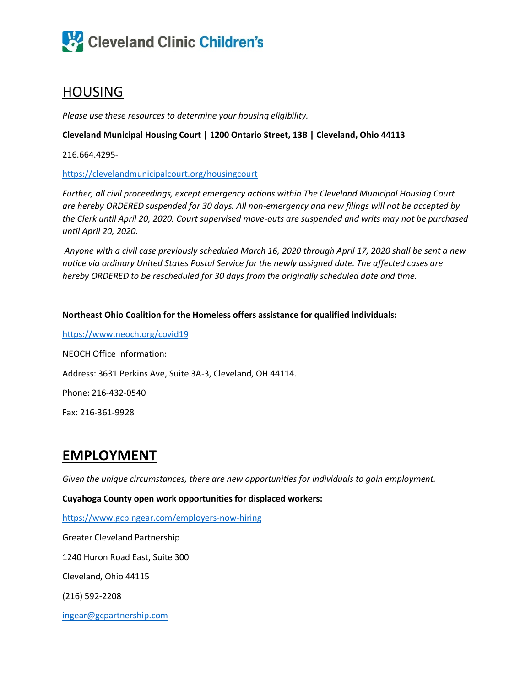

## HOUSING

*Please use these resources to determine your housing eligibility.*

#### **Cleveland Municipal Housing Court | 1200 Ontario Street, 13B | Cleveland, Ohio 44113**

216.664.4295-

<https://clevelandmunicipalcourt.org/housingcourt>

*Further, all civil proceedings, except emergency actions within The Cleveland Municipal Housing Court are hereby ORDERED suspended for 30 days. All non-emergency and new filings will not be accepted by the Clerk until April 20, 2020. Court supervised move-outs are suspended and writs may not be purchased until April 20, 2020.* 

*Anyone with a civil case previously scheduled March 16, 2020 through April 17, 2020 shall be sent a new notice via ordinary United States Postal Service for the newly assigned date. The affected cases are hereby ORDERED to be rescheduled for 30 days from the originally scheduled date and time.* 

#### **Northeast Ohio Coalition for the Homeless offers assistance for qualified individuals:**

<https://www.neoch.org/covid19> NEOCH Office Information: Address: 3631 Perkins Ave, Suite 3A-3, Cleveland, OH 44114. Phone: 216-432-0540 Fax: 216-361-9928

### **EMPLOYMENT**

*Given the unique circumstances, there are new opportunities for individuals to gain employment.* 

**Cuyahoga County open work opportunities for displaced workers:**

<https://www.gcpingear.com/employers-now-hiring>

Greater Cleveland Partnership

1240 Huron Road East, Suite 300

Cleveland, Ohio 44115

(216) 592-2208

[ingear@gcpartnership.com](mailto:ingear@gcpartnership.com)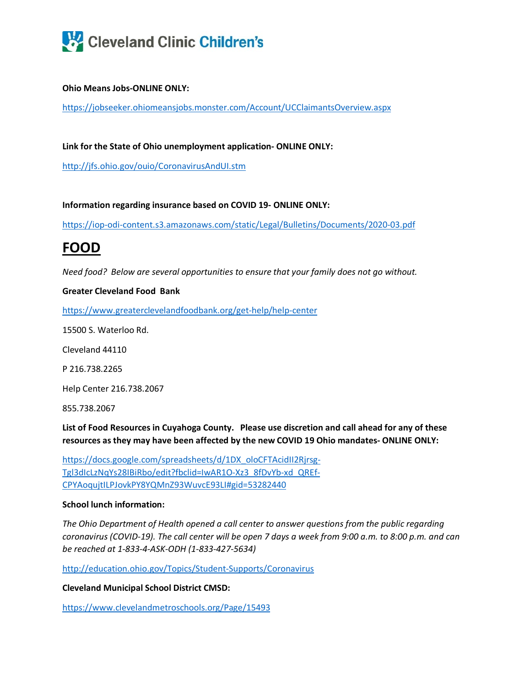

#### **Ohio Means Jobs-ONLINE ONLY:**

<https://jobseeker.ohiomeansjobs.monster.com/Account/UCClaimantsOverview.aspx>

**Link for the State of Ohio unemployment application- ONLINE ONLY:**

<http://jfs.ohio.gov/ouio/CoronavirusAndUI.stm>

**Information regarding insurance based on COVID 19- ONLINE ONLY:**

<https://iop-odi-content.s3.amazonaws.com/static/Legal/Bulletins/Documents/2020-03.pdf>

### **FOOD**

*Need food? Below are several opportunities to ensure that your family does not go without.*

#### **Greater Cleveland Food Bank**

<https://www.greaterclevelandfoodbank.org/get-help/help-center>

15500 S. Waterloo Rd.

Cleveland 44110

P 216.738.2265

Help Center 216.738.2067

855.738.2067

**List of Food Resources in Cuyahoga County. Please use discretion and call ahead for any of these resources as they may have been affected by the new COVID 19 Ohio mandates- ONLINE ONLY:**

[https://docs.google.com/spreadsheets/d/1DX\\_oloCFTAcidII2Rjrsg-](https://docs.google.com/spreadsheets/d/1DX_oloCFTAcidII2Rjrsg-Tgl3dIcLzNqYs28IBiRbo/edit?fbclid=IwAR1O-Xz3_8fDvYb-xd_QREf-CPYAoqujtILPJovkPY8YQMnZ93WuvcE93LI#gid=53282440)[Tgl3dIcLzNqYs28IBiRbo/edit?fbclid=IwAR1O-Xz3\\_8fDvYb-xd\\_QREf-](https://docs.google.com/spreadsheets/d/1DX_oloCFTAcidII2Rjrsg-Tgl3dIcLzNqYs28IBiRbo/edit?fbclid=IwAR1O-Xz3_8fDvYb-xd_QREf-CPYAoqujtILPJovkPY8YQMnZ93WuvcE93LI#gid=53282440)[CPYAoqujtILPJovkPY8YQMnZ93WuvcE93LI#gid=53282440](https://docs.google.com/spreadsheets/d/1DX_oloCFTAcidII2Rjrsg-Tgl3dIcLzNqYs28IBiRbo/edit?fbclid=IwAR1O-Xz3_8fDvYb-xd_QREf-CPYAoqujtILPJovkPY8YQMnZ93WuvcE93LI#gid=53282440)

#### **School lunch information:**

*The Ohio Department of Health opened a call center to answer questions from the public regarding coronavirus (COVID-19). The call center will be open 7 days a week from 9:00 a.m. to 8:00 p.m. and can be reached at 1-833-4-ASK-ODH (1-833-427-5634)*

<http://education.ohio.gov/Topics/Student-Supports/Coronavirus>

**Cleveland Municipal School District CMSD:**

<https://www.clevelandmetroschools.org/Page/15493>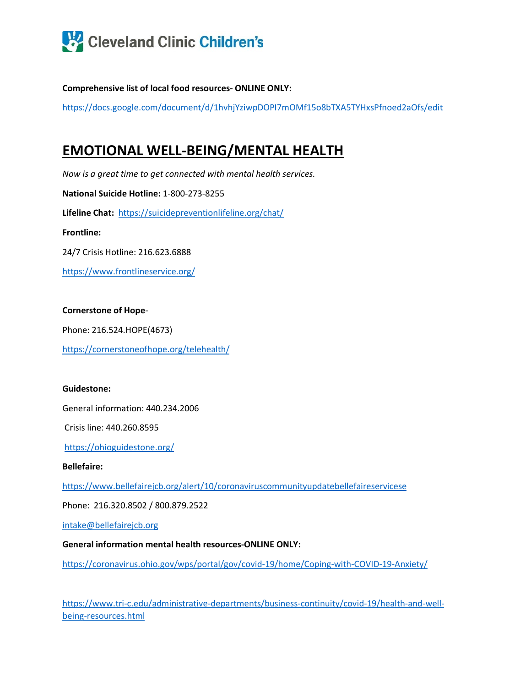

**Comprehensive list of local food resources- ONLINE ONLY:**

<https://docs.google.com/document/d/1hvhjYziwpDOPI7mOMf15o8bTXA5TYHxsPfnoed2aOfs/edit>

## **EMOTIONAL WELL-BEING/MENTAL HEALTH**

*Now is a great time to get connected with mental health services.*

**National Suicide Hotline:** 1-800-273-8255

**Lifeline Chat:** <https://suicidepreventionlifeline.org/chat/>

**Frontline:**

24/7 Crisis Hotline: 216.623.6888

<https://www.frontlineservice.org/>

#### **Cornerstone of Hope**-

Phone: 216.524.HOPE(4673)

<https://cornerstoneofhope.org/telehealth/>

#### **Guidestone:**

General information: 440.234.2006

Crisis line: 440.260.8595

<https://ohioguidestone.org/>

#### **Bellefaire:**

<https://www.bellefairejcb.org/alert/10/coronaviruscommunityupdatebellefaireservicese>

Phone: 216.320.8502 / 800.879.2522

[intake@bellefairejcb.org](mailto:intake@bellefairejcb.org)

#### **General information mental health resources-ONLINE ONLY:**

<https://coronavirus.ohio.gov/wps/portal/gov/covid-19/home/Coping-with-COVID-19-Anxiety/>

[https://www.tri-c.edu/administrative-departments/business-continuity/covid-19/health-and-well](https://www.tri-c.edu/administrative-departments/business-continuity/covid-19/health-and-well-being-resources.html)[being-resources.html](https://www.tri-c.edu/administrative-departments/business-continuity/covid-19/health-and-well-being-resources.html)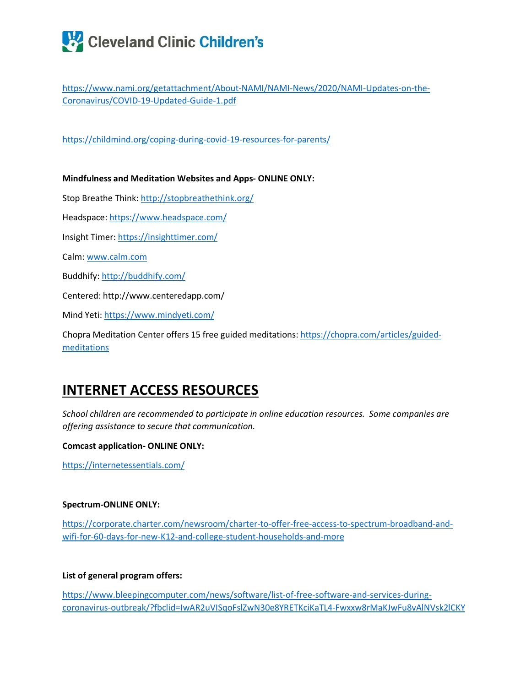## Cleveland Clinic Children's

[https://www.nami.org/getattachment/About-NAMI/NAMI-News/2020/NAMI-Updates-on-the-](https://www.nami.org/getattachment/About-NAMI/NAMI-News/2020/NAMI-Updates-on-the-Coronavirus/COVID-19-Updated-Guide-1.pdf)[Coronavirus/COVID-19-Updated-Guide-1.pdf](https://www.nami.org/getattachment/About-NAMI/NAMI-News/2020/NAMI-Updates-on-the-Coronavirus/COVID-19-Updated-Guide-1.pdf)

<https://childmind.org/coping-during-covid-19-resources-for-parents/>

**Mindfulness and Meditation Websites and Apps- ONLINE ONLY:** Stop Breathe Think[: http://stopbreathethink.org/](http://stopbreathethink.org/)  Headspace:<https://www.headspace.com/> Insight Timer:<https://insighttimer.com/> Calm: [www.calm.com](http://www.calm.com/) Buddhify[: http://buddhify.com/](http://buddhify.com/) Centered: http://www.centeredapp.com/ Mind Yeti:<https://www.mindyeti.com/>

Chopra Meditation Center offers 15 free guided meditations[: https://chopra.com/articles/guided](https://chopra.com/articles/guided-meditations)[meditations](https://chopra.com/articles/guided-meditations)

## **INTERNET ACCESS RESOURCES**

*School children are recommended to participate in online education resources. Some companies are offering assistance to secure that communication.*

**Comcast application- ONLINE ONLY:**

<https://internetessentials.com/>

#### **Spectrum-ONLINE ONLY:**

[https://corporate.charter.com/newsroom/charter-to-offer-free-access-to-spectrum-broadband-and](https://corporate.charter.com/newsroom/charter-to-offer-free-access-to-spectrum-broadband-and-wifi-for-60-days-for-new-K12-and-college-student-households-and-more)[wifi-for-60-days-for-new-K12-and-college-student-households-and-more](https://corporate.charter.com/newsroom/charter-to-offer-free-access-to-spectrum-broadband-and-wifi-for-60-days-for-new-K12-and-college-student-households-and-more)

#### **List of general program offers:**

[https://www.bleepingcomputer.com/news/software/list-of-free-software-and-services-during](https://www.bleepingcomputer.com/news/software/list-of-free-software-and-services-during-coronavirus-outbreak/?fbclid=IwAR2uVISqoFslZwN30e8YRETKciKaTL4-Fwxxw8rMaKJwFu8vAlNVsk2lCKY)[coronavirus-outbreak/?fbclid=IwAR2uVISqoFslZwN30e8YRETKciKaTL4-Fwxxw8rMaKJwFu8vAlNVsk2lCKY](https://www.bleepingcomputer.com/news/software/list-of-free-software-and-services-during-coronavirus-outbreak/?fbclid=IwAR2uVISqoFslZwN30e8YRETKciKaTL4-Fwxxw8rMaKJwFu8vAlNVsk2lCKY)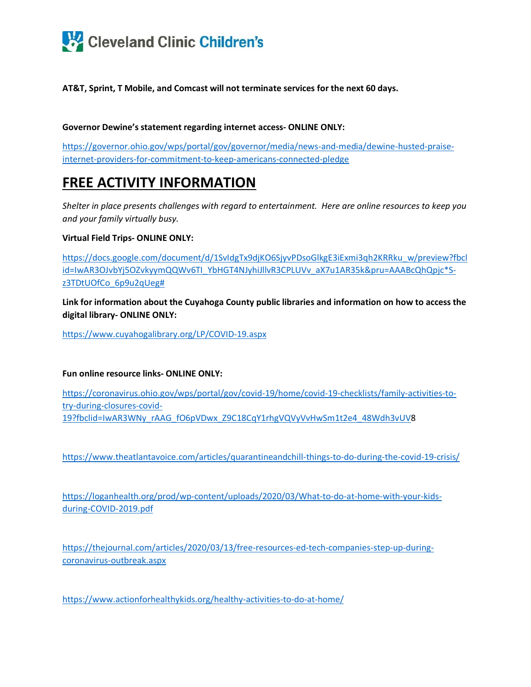

**AT&T, Sprint, T Mobile, and Comcast will not terminate services for the next 60 days.**

#### **Governor Dewine's statement regarding internet access- ONLINE ONLY:**

[https://governor.ohio.gov/wps/portal/gov/governor/media/news-and-media/dewine-husted-praise](https://governor.ohio.gov/wps/portal/gov/governor/media/news-and-media/dewine-husted-praise-internet-providers-for-commitment-to-keep-americans-connected-pledge)[internet-providers-for-commitment-to-keep-americans-connected-pledge](https://governor.ohio.gov/wps/portal/gov/governor/media/news-and-media/dewine-husted-praise-internet-providers-for-commitment-to-keep-americans-connected-pledge)

## **FREE ACTIVITY INFORMATION**

*Shelter in place presents challenges with regard to entertainment. Here are online resources to keep you and your family virtually busy.*

#### **Virtual Field Trips- ONLINE ONLY:**

[https://docs.google.com/document/d/1SvIdgTx9djKO6SjyvPDsoGlkgE3iExmi3qh2KRRku\\_w/preview?fbcl](https://docs.google.com/document/d/1SvIdgTx9djKO6SjyvPDsoGlkgE3iExmi3qh2KRRku_w/preview?fbclid=IwAR3OJvbYj5OZvkyymQQWv6TI_YbHGT4NJyhiJllvR3CPLUVv_aX7u1AR35k&pru=AAABcQhQpjc*S-z3TDtUOfCo_6p9u2qUeg) [id=IwAR3OJvbYj5OZvkyymQQWv6TI\\_YbHGT4NJyhiJllvR3CPLUVv\\_aX7u1AR35k&pru=AAABcQhQpjc\\*S](https://docs.google.com/document/d/1SvIdgTx9djKO6SjyvPDsoGlkgE3iExmi3qh2KRRku_w/preview?fbclid=IwAR3OJvbYj5OZvkyymQQWv6TI_YbHGT4NJyhiJllvR3CPLUVv_aX7u1AR35k&pru=AAABcQhQpjc*S-z3TDtUOfCo_6p9u2qUeg)[z3TDtUOfCo\\_6p9u2qUeg#](https://docs.google.com/document/d/1SvIdgTx9djKO6SjyvPDsoGlkgE3iExmi3qh2KRRku_w/preview?fbclid=IwAR3OJvbYj5OZvkyymQQWv6TI_YbHGT4NJyhiJllvR3CPLUVv_aX7u1AR35k&pru=AAABcQhQpjc*S-z3TDtUOfCo_6p9u2qUeg)

**Link for information about the Cuyahoga County public libraries and information on how to access the digital library- ONLINE ONLY:**

<https://www.cuyahogalibrary.org/LP/COVID-19.aspx>

**Fun online resource links- ONLINE ONLY:**

[https://coronavirus.ohio.gov/wps/portal/gov/covid-19/home/covid-19-checklists/family-activities-to](https://coronavirus.ohio.gov/wps/portal/gov/covid-19/home/covid-19-checklists/family-activities-to-try-during-closures-covid-19?fbclid=IwAR3WNy_rAAG_fO6pVDwx_Z9C18CqY1rhgVQVyVvHwSm1t2e4_48Wdh3vUV)[try-during-closures-covid-](https://coronavirus.ohio.gov/wps/portal/gov/covid-19/home/covid-19-checklists/family-activities-to-try-during-closures-covid-19?fbclid=IwAR3WNy_rAAG_fO6pVDwx_Z9C18CqY1rhgVQVyVvHwSm1t2e4_48Wdh3vUV)[19?fbclid=IwAR3WNy\\_rAAG\\_fO6pVDwx\\_Z9C18CqY1rhgVQVyVvHwSm1t2e4\\_48Wdh3vUV8](https://coronavirus.ohio.gov/wps/portal/gov/covid-19/home/covid-19-checklists/family-activities-to-try-during-closures-covid-19?fbclid=IwAR3WNy_rAAG_fO6pVDwx_Z9C18CqY1rhgVQVyVvHwSm1t2e4_48Wdh3vUV)

<https://www.theatlantavoice.com/articles/quarantineandchill-things-to-do-during-the-covid-19-crisis/>

[https://loganhealth.org/prod/wp-content/uploads/2020/03/What-to-do-at-home-with-your-kids](https://loganhealth.org/prod/wp-content/uploads/2020/03/What-to-do-at-home-with-your-kids-during-COVID-2019.pdf)[during-COVID-2019.pdf](https://loganhealth.org/prod/wp-content/uploads/2020/03/What-to-do-at-home-with-your-kids-during-COVID-2019.pdf)

[https://thejournal.com/articles/2020/03/13/free-resources-ed-tech-companies-step-up-during](https://thejournal.com/articles/2020/03/13/free-resources-ed-tech-companies-step-up-during-coronavirus-outbreak.aspx)[coronavirus-outbreak.aspx](https://thejournal.com/articles/2020/03/13/free-resources-ed-tech-companies-step-up-during-coronavirus-outbreak.aspx)

<https://www.actionforhealthykids.org/healthy-activities-to-do-at-home/>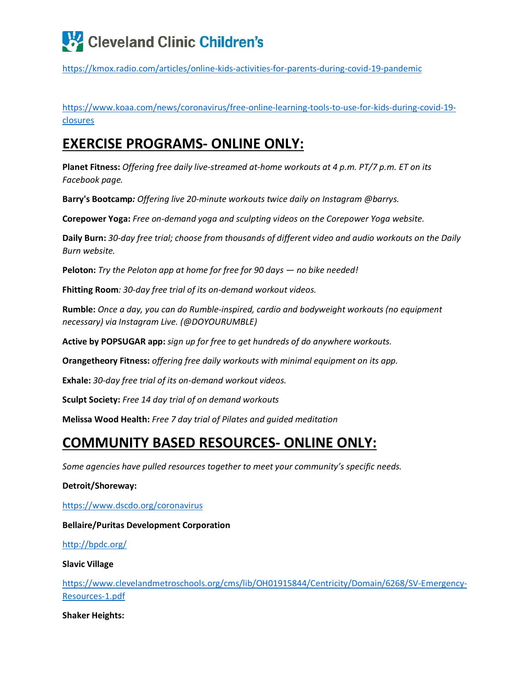

<https://kmox.radio.com/articles/online-kids-activities-for-parents-during-covid-19-pandemic>

[https://www.koaa.com/news/coronavirus/free-online-learning-tools-to-use-for-kids-during-covid-19](https://www.koaa.com/news/coronavirus/free-online-learning-tools-to-use-for-kids-during-covid-19-closures) [closures](https://www.koaa.com/news/coronavirus/free-online-learning-tools-to-use-for-kids-during-covid-19-closures)

## **EXERCISE PROGRAMS- ONLINE ONLY:**

**Planet Fitness:** *Offering free daily live-streamed at-home workouts at 4 p.m. PT/7 p.m. ET on its Facebook page.*

**Barry's Bootcamp***: Offering live 20-minute workouts twice daily on Instagram @barrys.*

**Corepower Yoga:** *Free on-demand yoga and sculpting videos on the Corepower Yoga website.*

**Daily Burn:** *30-day free trial; choose from thousands of different video and audio workouts on the Daily Burn website.*

**Peloton:** *Try the Peloton app at home for free for 90 days — no bike needed!*

**Fhitting Room***: 30-day free trial of its on-demand workout videos.*

**Rumble:** *Once a day, you can do Rumble-inspired, cardio and bodyweight workouts (no equipment necessary) via Instagram Live. (@DOYOURUMBLE)*

**Active by POPSUGAR app:** *sign up for free to get hundreds of do anywhere workouts.*

**Orangetheory Fitness:** *offering free daily workouts with minimal equipment on its app.*

**Exhale:** *30-day free trial of its on-demand workout videos.*

**Sculpt Society:** *Free 14 day trial of on demand workouts*

**Melissa Wood Health:** *Free 7 day trial of Pilates and guided meditation*

## **COMMUNITY BASED RESOURCES- ONLINE ONLY:**

*Some agencies have pulled resources together to meet your community's specific needs.*

#### **Detroit/Shoreway:**

<https://www.dscdo.org/coronavirus>

**Bellaire/Puritas Development Corporation**

<http://bpdc.org/>

**Slavic Village**

[https://www.clevelandmetroschools.org/cms/lib/OH01915844/Centricity/Domain/6268/SV-Emergency-](https://www.clevelandmetroschools.org/cms/lib/OH01915844/Centricity/Domain/6268/SV-Emergency-Resources-1.pdf)[Resources-1.pdf](https://www.clevelandmetroschools.org/cms/lib/OH01915844/Centricity/Domain/6268/SV-Emergency-Resources-1.pdf)

**Shaker Heights:**